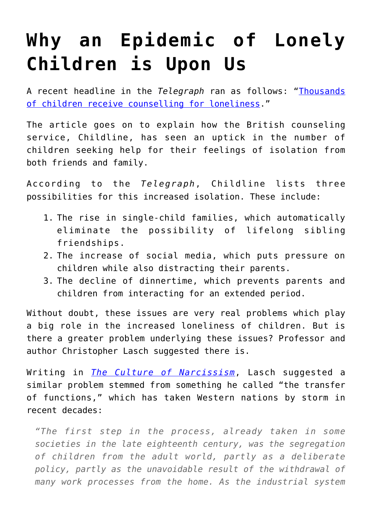## **[Why an Epidemic of Lonely](https://intellectualtakeout.org/2017/04/why-an-epidemic-of-lonely-children-is-upon-us/) [Children is Upon Us](https://intellectualtakeout.org/2017/04/why-an-epidemic-of-lonely-children-is-upon-us/)**

A recent headline in the *Telegraph* ran as follows: ["Thousands](http://www.telegraph.co.uk/wellbeing/mood-and-mind/thousands-children-receive-counselling-loneliness/) [of children receive counselling for loneliness](http://www.telegraph.co.uk/wellbeing/mood-and-mind/thousands-children-receive-counselling-loneliness/)."

The article goes on to explain how the British counseling service, Childline, has seen an uptick in the number of children seeking help for their feelings of isolation from both friends and family.

According to the *Telegraph*, Childline lists three possibilities for this increased isolation. These include:

- 1. The rise in single-child families, which automatically eliminate the possibility of lifelong sibling friendships.
- 2. The increase of social media, which puts pressure on children while also distracting their parents.
- 3. The decline of dinnertime, which prevents parents and children from interacting for an extended period.

Without doubt, these issues are very real problems which play a big role in the increased loneliness of children. But is there a greater problem underlying these issues? Professor and author Christopher Lasch suggested there is.

Writing in *[The Culture of Narcissism](https://www.amazon.com/gp/product/0393307387/ref=as_li_qf_sp_asin_il_tl?ie=UTF8&tag=intelltakeo0d-20&camp=1789&creative=9325&linkCode=as2&creativeASIN=0393307387&linkId=88af5f2c4081cc9fb2b05cf59320b41c)*, Lasch suggested a similar problem stemmed from something he called "the transfer of functions," which has taken Western nations by storm in recent decades:

*"The first step in the process, already taken in some societies in the late eighteenth century, was the segregation of children from the adult world, partly as a deliberate policy, partly as the unavoidable result of the withdrawal of many work processes from the home. As the industrial system*